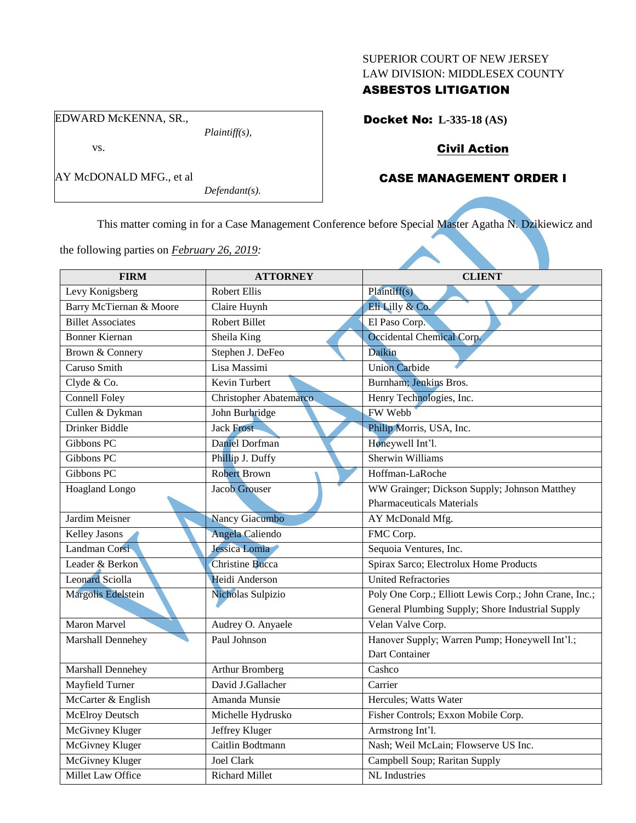#### SUPERIOR COURT OF NEW JERSEY LAW DIVISION: MIDDLESEX COUNTY

### ASBESTOS LITIGATION

EDWARD McKENNA, SR.,

*Plaintiff(s),*

vs.

*Defendant(s).*

# Docket No: **L-335-18 (AS)**

# Civil Action

## CASE MANAGEMENT ORDER I

This matter coming in for a Case Management Conference before Special Master Agatha N. Dzikiewicz and

the following parties on *February 26, 2019:*

| <b>FIRM</b>              | <b>ATTORNEY</b>               | <b>CLIENT</b>                                          |
|--------------------------|-------------------------------|--------------------------------------------------------|
| Levy Konigsberg          | <b>Robert Ellis</b>           | Plaintiff(s)                                           |
| Barry McTiernan & Moore  | Claire Huynh                  | Eli Lilly & Co.                                        |
| <b>Billet Associates</b> | Robert Billet                 | El Paso Corp.                                          |
| <b>Bonner Kiernan</b>    | Sheila King                   | Occidental Chemical Corp.                              |
| Brown & Connery          | Stephen J. DeFeo              | Daikin                                                 |
| Caruso Smith             | Lisa Massimi                  | <b>Union Carbide</b>                                   |
| Clyde & Co.              | <b>Kevin Turbert</b>          | Burnham; Jenkins Bros.                                 |
| <b>Connell Foley</b>     | <b>Christopher Abatemarco</b> | Henry Technologies, Inc.                               |
| Cullen & Dykman          | John Burbridge                | <b>FW Webb</b>                                         |
| Drinker Biddle           | Jack Frost                    | Philip Morris, USA, Inc.                               |
| Gibbons PC               | Daniel Dorfman                | Honeywell Int'l.                                       |
| Gibbons PC               | Phillip J. Duffy              | Sherwin Williams                                       |
| Gibbons PC               | <b>Robert Brown</b>           | Hoffman-LaRoche                                        |
| <b>Hoagland Longo</b>    | <b>Jacob Grouser</b>          | WW Grainger; Dickson Supply; Johnson Matthey           |
|                          |                               | <b>Pharmaceuticals Materials</b>                       |
| Jardim Meisner           | Nancy Giacumbo                | AY McDonald Mfg.                                       |
| <b>Kelley Jasons</b>     | <b>Angela Caliendo</b>        | FMC Corp.                                              |
| Landman Corsi            | Jessica Lomia                 | Sequoia Ventures, Inc.                                 |
| Leader & Berkon          | <b>Christine Bucca</b>        | Spirax Sarco; Electrolux Home Products                 |
| <b>Leonard Sciolla</b>   | Heidi Anderson                | <b>United Refractories</b>                             |
| Margolis Edelstein       | Nicholas Sulpizio             | Poly One Corp.; Elliott Lewis Corp.; John Crane, Inc.; |
|                          |                               | General Plumbing Supply; Shore Industrial Supply       |
| Maron Marvel             | Audrey O. Anyaele             | Velan Valve Corp.                                      |
| <b>Marshall Dennehey</b> | Paul Johnson                  | Hanover Supply; Warren Pump; Honeywell Int'l.;         |
|                          |                               | Dart Container                                         |
| Marshall Dennehey        | <b>Arthur Bromberg</b>        | Cashco                                                 |
| Mayfield Turner          | David J.Gallacher             | Carrier                                                |
| McCarter & English       | Amanda Munsie                 | Hercules; Watts Water                                  |
| <b>McElroy Deutsch</b>   | Michelle Hydrusko             | Fisher Controls; Exxon Mobile Corp.                    |
| <b>McGivney Kluger</b>   | Jeffrey Kluger                | Armstrong Int'l.                                       |
| <b>McGivney Kluger</b>   | Caitlin Bodtmann              | Nash; Weil McLain; Flowserve US Inc.                   |
| <b>McGivney Kluger</b>   | Joel Clark                    | Campbell Soup; Raritan Supply                          |
| Millet Law Office        | <b>Richard Millet</b>         | <b>NL</b> Industries                                   |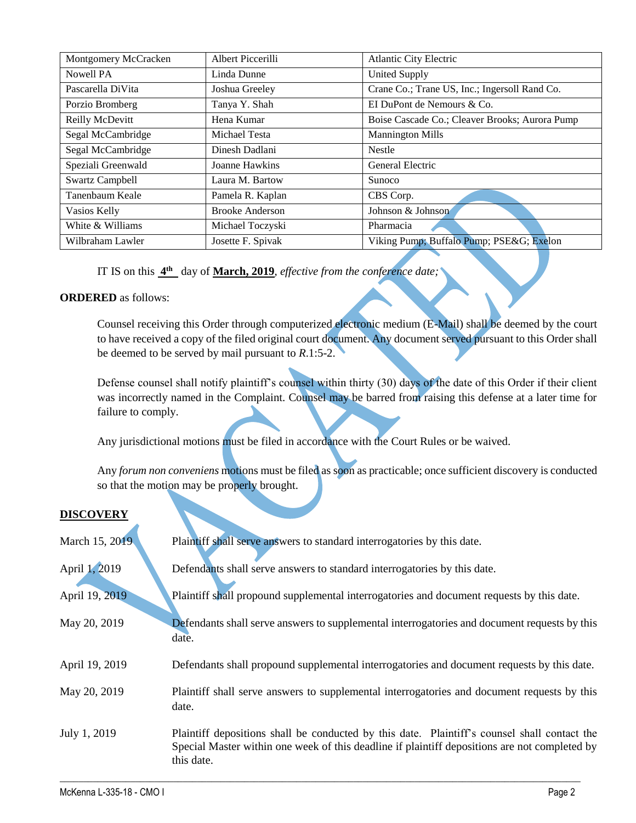| Montgomery McCracken | Albert Piccerilli      | <b>Atlantic City Electric</b>                  |
|----------------------|------------------------|------------------------------------------------|
| Nowell PA            | Linda Dunne            | <b>United Supply</b>                           |
| Pascarella DiVita    | Joshua Greeley         | Crane Co.; Trane US, Inc.; Ingersoll Rand Co.  |
| Porzio Bromberg      | Tanya Y. Shah          | EI DuPont de Nemours & Co.                     |
| Reilly McDevitt      | Hena Kumar             | Boise Cascade Co.; Cleaver Brooks; Aurora Pump |
| Segal McCambridge    | Michael Testa          | <b>Mannington Mills</b>                        |
| Segal McCambridge    | Dinesh Dadlani         | <b>Nestle</b>                                  |
| Speziali Greenwald   | Joanne Hawkins         | General Electric                               |
| Swartz Campbell      | Laura M. Bartow        | <b>Sunoco</b>                                  |
| Tanenbaum Keale      | Pamela R. Kaplan       | CBS Corp.                                      |
| Vasios Kelly         | <b>Brooke Anderson</b> | Johnson & Johnson                              |
| White & Williams     | Michael Toczyski       | Pharmacia                                      |
| Wilbraham Lawler     | Josette F. Spivak      | Viking Pump; Buffalo Pump; PSE&G Exelon        |

IT IS on this **4 th** day of **March, 2019**, *effective from the conference date;*

## **ORDERED** as follows:

Counsel receiving this Order through computerized electronic medium (E-Mail) shall be deemed by the court to have received a copy of the filed original court document. Any document served pursuant to this Order shall be deemed to be served by mail pursuant to *R*.1:5-2.

Defense counsel shall notify plaintiff's counsel within thirty (30) days of the date of this Order if their client was incorrectly named in the Complaint. Counsel may be barred from raising this defense at a later time for failure to comply.

Any jurisdictional motions must be filed in accordance with the Court Rules or be waived.

Any *forum non conveniens* motions must be filed as soon as practicable; once sufficient discovery is conducted so that the motion may be properly brought.

### **DISCOVERY**

| March 15, 2019 | Plaintiff shall serve answers to standard interrogatories by this date.                                                                                                                                     |
|----------------|-------------------------------------------------------------------------------------------------------------------------------------------------------------------------------------------------------------|
| April 1, 2019  | Defendants shall serve answers to standard interrogatories by this date.                                                                                                                                    |
| April 19, 2019 | Plaintiff shall propound supplemental interrogatories and document requests by this date.                                                                                                                   |
| May 20, 2019   | Defendants shall serve answers to supplemental interrogatories and document requests by this<br>date.                                                                                                       |
| April 19, 2019 | Defendants shall propound supplemental interrogatories and document requests by this date.                                                                                                                  |
| May 20, 2019   | Plaintiff shall serve answers to supplemental interrogatories and document requests by this<br>date.                                                                                                        |
| July 1, 2019   | Plaintiff depositions shall be conducted by this date. Plaintiff's counsel shall contact the<br>Special Master within one week of this deadline if plaintiff depositions are not completed by<br>this date. |

 $\_$  , and the set of the set of the set of the set of the set of the set of the set of the set of the set of the set of the set of the set of the set of the set of the set of the set of the set of the set of the set of th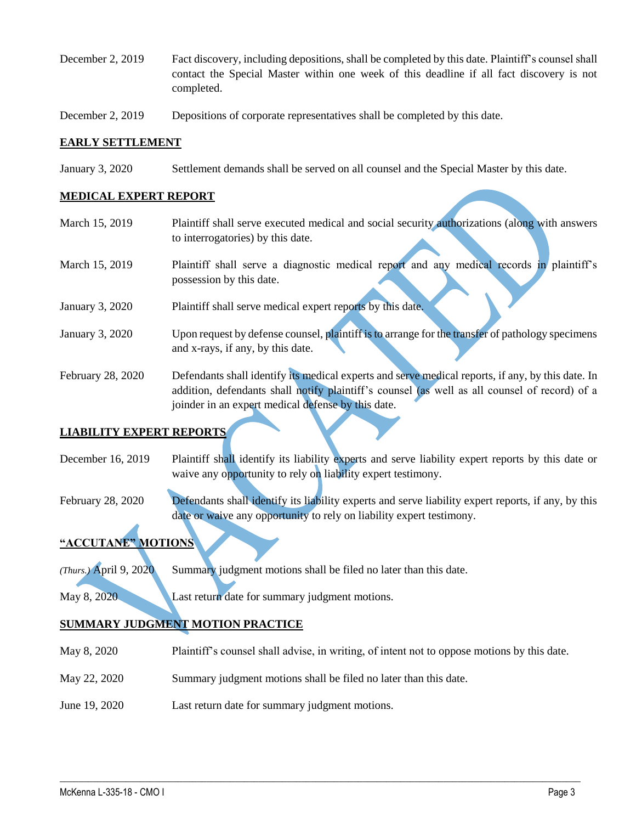- December 2, 2019 Fact discovery, including depositions, shall be completed by this date. Plaintiff's counsel shall contact the Special Master within one week of this deadline if all fact discovery is not completed.
- December 2, 2019 Depositions of corporate representatives shall be completed by this date.

#### **EARLY SETTLEMENT**

January 3, 2020 Settlement demands shall be served on all counsel and the Special Master by this date.

#### **MEDICAL EXPERT REPORT**

| March 15, 2019    | Plaintiff shall serve executed medical and social security authorizations (along with answers     |
|-------------------|---------------------------------------------------------------------------------------------------|
|                   | to interrogatories) by this date.                                                                 |
| March 15, 2019    | Plaintiff shall serve a diagnostic medical report and any medical records in plaintiff's          |
|                   | possession by this date.                                                                          |
| January 3, 2020   | Plaintiff shall serve medical expert reports by this date.                                        |
| January 3, 2020   | Upon request by defense counsel, plaintiff is to arrange for the transfer of pathology specimens  |
|                   | and x-rays, if any, by this date.                                                                 |
|                   |                                                                                                   |
| February 28, 2020 | Defendants shall identify its medical experts and serve medical reports, if any, by this date. In |
|                   | addition, defendants shall notify plaintiff's counsel (as well as all counsel of record) of a     |
|                   | joinder in an expert medical defense by this date.                                                |

## **LIABILITY EXPERT REPORTS**

December 16, 2019 Plaintiff shall identify its liability experts and serve liability expert reports by this date or waive any opportunity to rely on liability expert testimony.

February 28, 2020 Defendants shall identify its liability experts and serve liability expert reports, if any, by this date or waive any opportunity to rely on liability expert testimony.

# **"ACCUTANE" MOTIONS**

*(Thurs.)* April 9, 2020 Summary judgment motions shall be filed no later than this date.

May 8, 2020 Last return date for summary judgment motions.

### **SUMMARY JUDGMENT MOTION PRACTICE**

May 8, 2020 Plaintiff's counsel shall advise, in writing, of intent not to oppose motions by this date.

 $\_$  , and the set of the set of the set of the set of the set of the set of the set of the set of the set of the set of the set of the set of the set of the set of the set of the set of the set of the set of the set of th

- May 22, 2020 Summary judgment motions shall be filed no later than this date.
- June 19, 2020 Last return date for summary judgment motions.